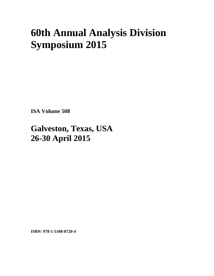## **60th Annual Analysis Division Symposium 2015**

**ISA Volume 508** 

## **Galveston, Texas, USA 26-30 April 2015**

**ISBN: 978-1-5108-0720-4**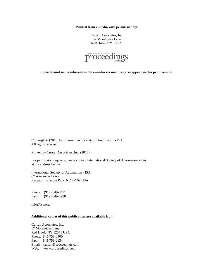**Printed from e-media with permission by:** 

Curran Associates, Inc. 57 Morehouse Lane Red Hook, NY 12571



**Some format issues inherent in the e-media version may also appear in this print version.** 

Copyright© (2015) by International Society of Automation - ISA All rights reserved.

Printed by Curran Associates, Inc. (2015)

For permission requests, please contact International Society of Automation - ISA at the address below.

International Society of Automation - ISA 67 Alexander Drive Research Triangle Park, NC 27709 USA

Phone: (919) 549-8411 Fax: (919) 549-8288

info@isa.org

## **Additional copies of this publication are available from:**

Curran Associates, Inc. 57 Morehouse Lane Red Hook, NY 12571 USA Phone: 845-758-0400 Fax: 845-758-2634 Email: curran@proceedings.com Web: www.proceedings.com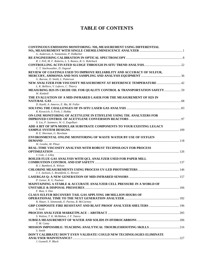## **TABLE OF CONTENTS**

| CONTINUOUS EMISSIONS MONITORING: NH <sub>3</sub> MEASUREMENT USING DIFFERENTIAL |  |
|---------------------------------------------------------------------------------|--|
|                                                                                 |  |
| G. Anderson, A. Yamamoto, P. DeBarber                                           |  |
| R. J. Pell, M. F. Roberto, L. S. Ramos, B. G. Rohrback                          |  |
|                                                                                 |  |
| C. T. Starkweather, D. Osgood                                                   |  |
| REVIEW OF COATINGS USED TO IMPROVE RELIABILITY AND ACCURACY OF SULFUR,          |  |
|                                                                                 |  |
| G. Barone, D. Smith, L. Patterson                                               |  |
| NEW ANALYZER FOR VISCOSITY MEASUREMENT AT REFERENCE TEMPERATURE  42             |  |
| L. K. Belliere, V. Lefevre, C. Thierry                                          |  |
| MEASURING H2S IN CRUDE OIL FOR QUALITY CONTROL & TRANSPORTATION SAFETY  59      |  |
| W. Kimbell                                                                      |  |
| THE EVALUATION OF A MID-INFRARED LASER FOR THE MEASUREMENT OF H2S IN            |  |
| D. Kuehl, A. Amerov, E. Ma, M. Fuller                                           |  |
|                                                                                 |  |
| R. Kovacich, S. Firth, J. Hobby                                                 |  |
| ON-LINE MONITORING OF ACETYLENE IN ETHYLENE USING TDL ANALYZERS FOR             |  |
|                                                                                 |  |
| X. Liu, P. Summers, W. G. Engelhart                                             |  |
| ADD A BIT OF SP76 MODULAR SUBSTRATE COMPONENTS TO YOUR EXISTING LEGACY          |  |
|                                                                                 |  |
| R. E. Sherman, G. Boreham                                                       |  |
| ENVIRONMENTAL ONLINE MONITORING OF WASTE WATER BY USE OF OXYGEN                 |  |
| W. Genthe, M. Pliner                                                            |  |
| <b>REAL-TIME VISCOSITY ANALYSIS WITH ROBUST TECHNOLOGY FOR PROCESS</b>          |  |
|                                                                                 |  |
| J. Cole, J. Lilley                                                              |  |
| <b>BOILER FLUE GAS ANALYSIS WITH QCL ANALYZER USED FOR PAPER MILL</b>           |  |
|                                                                                 |  |
| R. J. Bambeck, K. Wilson                                                        |  |
|                                                                                 |  |
| J. S. Jackson, L. Brumfield, G. Brewer                                          |  |
| P. Geiser, K. G. Paulsen                                                        |  |
| <b>MAINTAINING A STABLE &amp; ACCURATE ANALYZER CELL PRESSURE IN A WORLD OF</b> |  |
|                                                                                 |  |
| F. Ruiz, S. Doe                                                                 |  |
| <b>CLAUS SULFUR RECOVERY TAIL GAS APPLYING 100 MILLION HOURS OF</b>             |  |
|                                                                                 |  |
| R. Hauer, S. Simmonds, E. Pavina, B. McCartney                                  |  |
| <b>GRP COMPOSITE FIRE RESISTANT AND BLAST PROOF ANALYZER SHELTERS  196</b>      |  |
| S. Scott                                                                        |  |
|                                                                                 |  |
| S. Walton, T. K. McMahon, J. F. Tatera                                          |  |
| T. M. Canty                                                                     |  |
|                                                                                 |  |
| S. Smith                                                                        |  |
| DON'T CALIBRATE! DON'T EVEN VALIDATE! COULD NEW TECHNOLOGIES ELIMINATE          |  |
|                                                                                 |  |
| J. Gunnell, P. Black                                                            |  |